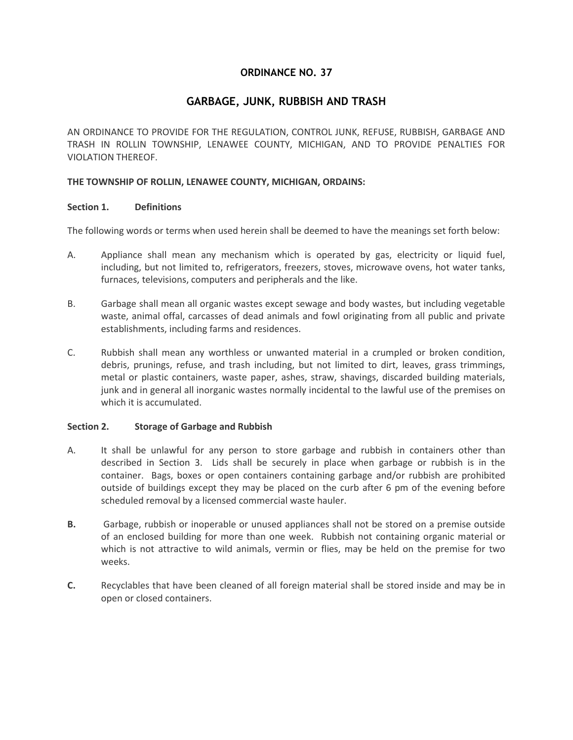## **ORDINANCE NO. 37**

# **GARBAGE, JUNK, RUBBISH AND TRASH**

AN ORDINANCE TO PROVIDE FOR THE REGULATION, CONTROL JUNK, REFUSE, RUBBISH, GARBAGE AND TRASH IN ROLLIN TOWNSHIP, LENAWEE COUNTY, MICHIGAN, AND TO PROVIDE PENALTIES FOR VIOLATION THEREOF.

#### **THE TOWNSHIP OF ROLLIN, LENAWEE COUNTY, MICHIGAN, ORDAINS:**

#### **Section 1. Definitions**

The following words or terms when used herein shall be deemed to have the meanings set forth below:

- A. Appliance shall mean any mechanism which is operated by gas, electricity or liquid fuel, including, but not limited to, refrigerators, freezers, stoves, microwave ovens, hot water tanks, furnaces, televisions, computers and peripherals and the like.
- B. Garbage shall mean all organic wastes except sewage and body wastes, but including vegetable waste, animal offal, carcasses of dead animals and fowl originating from all public and private establishments, including farms and residences.
- C. Rubbish shall mean any worthless or unwanted material in a crumpled or broken condition, debris, prunings, refuse, and trash including, but not limited to dirt, leaves, grass trimmings, metal or plastic containers, waste paper, ashes, straw, shavings, discarded building materials, junk and in general all inorganic wastes normally incidental to the lawful use of the premises on which it is accumulated.

#### **Section 2. Storage of Garbage and Rubbish**

- A. It shall be unlawful for any person to store garbage and rubbish in containers other than described in Section 3. Lids shall be securely in place when garbage or rubbish is in the container. Bags, boxes or open containers containing garbage and/or rubbish are prohibited outside of buildings except they may be placed on the curb after 6 pm of the evening before scheduled removal by a licensed commercial waste hauler.
- **B.** Garbage, rubbish or inoperable or unused appliances shall not be stored on a premise outside of an enclosed building for more than one week. Rubbish not containing organic material or which is not attractive to wild animals, vermin or flies, may be held on the premise for two weeks.
- **C.** Recyclables that have been cleaned of all foreign material shall be stored inside and may be in open or closed containers.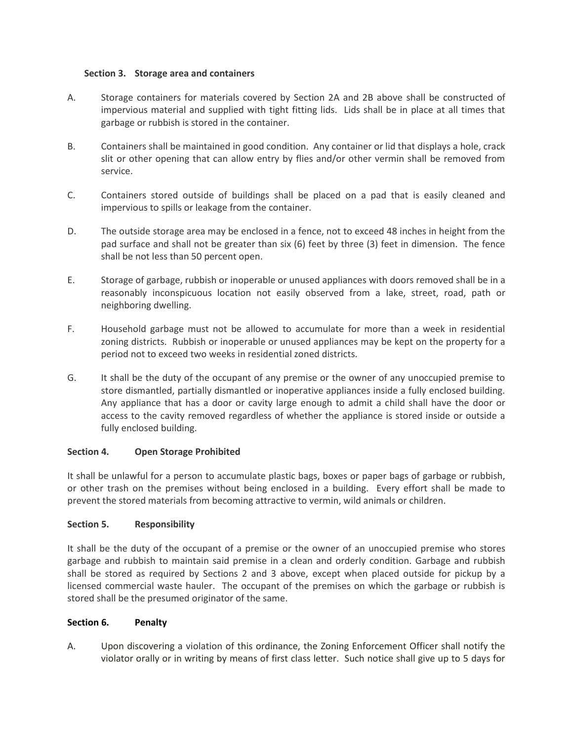### **Section 3. Storage area and containers**

- A. Storage containers for materials covered by Section 2A and 2B above shall be constructed of impervious material and supplied with tight fitting lids. Lids shall be in place at all times that garbage or rubbish is stored in the container.
- B. Containers shall be maintained in good condition. Any container or lid that displays a hole, crack slit or other opening that can allow entry by flies and/or other vermin shall be removed from service.
- C. Containers stored outside of buildings shall be placed on a pad that is easily cleaned and impervious to spills or leakage from the container.
- D. The outside storage area may be enclosed in a fence, not to exceed 48 inches in height from the pad surface and shall not be greater than six (6) feet by three (3) feet in dimension. The fence shall be not less than 50 percent open.
- E. Storage of garbage, rubbish or inoperable or unused appliances with doors removed shall be in a reasonably inconspicuous location not easily observed from a lake, street, road, path or neighboring dwelling.
- F. Household garbage must not be allowed to accumulate for more than a week in residential zoning districts. Rubbish or inoperable or unused appliances may be kept on the property for a period not to exceed two weeks in residential zoned districts.
- G. It shall be the duty of the occupant of any premise or the owner of any unoccupied premise to store dismantled, partially dismantled or inoperative appliances inside a fully enclosed building. Any appliance that has a door or cavity large enough to admit a child shall have the door or access to the cavity removed regardless of whether the appliance is stored inside or outside a fully enclosed building.

### **Section 4. Open Storage Prohibited**

It shall be unlawful for a person to accumulate plastic bags, boxes or paper bags of garbage or rubbish, or other trash on the premises without being enclosed in a building. Every effort shall be made to prevent the stored materials from becoming attractive to vermin, wild animals or children.

### **Section 5. Responsibility**

It shall be the duty of the occupant of a premise or the owner of an unoccupied premise who stores garbage and rubbish to maintain said premise in a clean and orderly condition. Garbage and rubbish shall be stored as required by Sections 2 and 3 above, except when placed outside for pickup by a licensed commercial waste hauler. The occupant of the premises on which the garbage or rubbish is stored shall be the presumed originator of the same.

### **Section 6. Penalty**

A. Upon discovering a violation of this ordinance, the Zoning Enforcement Officer shall notify the violator orally or in writing by means of first class letter. Such notice shall give up to 5 days for